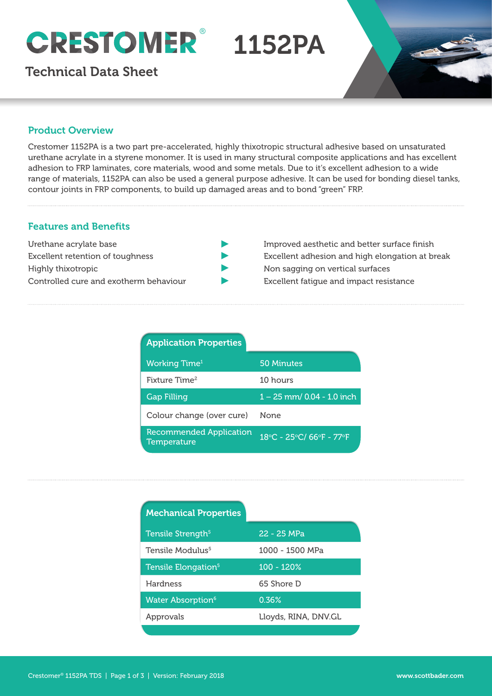# ® 1152PA

Technical Data Sheet



## Product Overview

dietrialle acrylate in a styrene monomer. It is used in marry structural composite applications and has excell<br>adhesion to FRP laminates, core materials, wood and some metals. Due to it's excellent adhesion to a wide Crestomer 1152PA is a two part pre-accelerated, highly thixotropic structural adhesive based on unsaturated urethane acrylate in a styrene monomer. It is used in many structural composite applications and has excellent range of materials, 1152PA can also be used a general purpose adhesive. It can be used for bonding diesel tanks, contour joints in FRP components, to build up damaged areas and to bond "green" FRP.

# Features and Benefits

| Urethane acrylate base                 |
|----------------------------------------|
| Excellent retention of toughness       |
| Highly thixotropic                     |
| Controlled cure and exotherm behaviour |

- Improved aesthetic and better surface finish
- Excellent adhesion and high elongation at break
- Non sagging on vertical surfaces
- Excellent fatigue and impact resistance

| <b>Application Properties</b>                 |                            |
|-----------------------------------------------|----------------------------|
| <b>Working Time</b> <sup>1</sup>              | 50 Minutes                 |
| Fixture Time <sup>2</sup>                     | 10 hours                   |
| <b>Gap Filling</b>                            | 1 - 25 mm/ 0.04 - 1.0 inch |
| Colour change (over cure)                     | None                       |
| <b>Recommended Application</b><br>Temperature | 18°C - 25°C/ 66°F - 77°F   |

| <b>Mechanical Properties</b>         |                      |
|--------------------------------------|----------------------|
| Tensile Strength <sup>5</sup>        | 22 - 25 MPa          |
| Tensile Modulus <sup>5</sup>         | 1000 - 1500 MPa      |
| Tensile Elongation <sup>5</sup>      | 100 - 120%           |
| Hardness                             | 65 Shore D           |
| <b>Water Absorption</b> <sup>6</sup> | $0.36\%$             |
| Approvals                            | Lloyds, RINA, DNV.GL |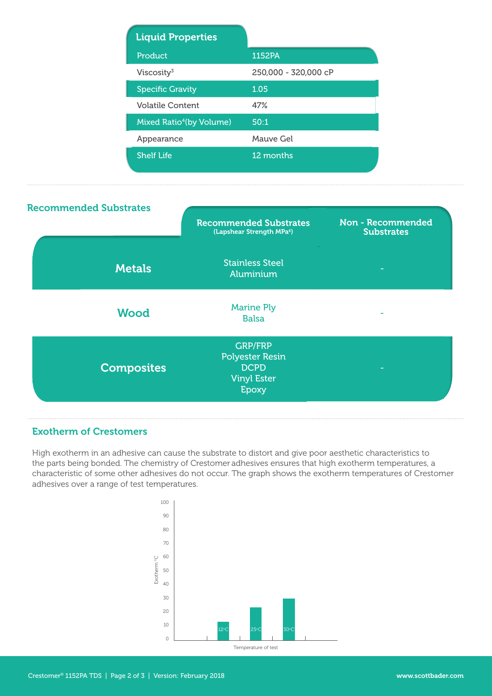| <b>Liquid Properties</b>             |                      |
|--------------------------------------|----------------------|
| Product                              | 1152PA               |
| Viscosity $3$                        | 250,000 - 320,000 cP |
| <b>Specific Gravity</b>              | 1.05                 |
| <b>Volatile Content</b>              | 47%                  |
| Mixed Ratio <sup>4</sup> (by Volume) | 50:1                 |
| Appearance                           | Mauve Gel            |
| <b>Shelf Life</b>                    | 12 months            |



# Exotherm of Crestomers

High exotherm in an adhesive can cause the substrate to distort and give poor aesthetic characteristics to the parts being bonded. The chemistry of Crestomer adhesives ensures that high exotherm temperatures, a characteristic of some other adhesives do not occur. The graph shows the exotherm temperatures of Crestomer adhesives over a range of test temperatures.